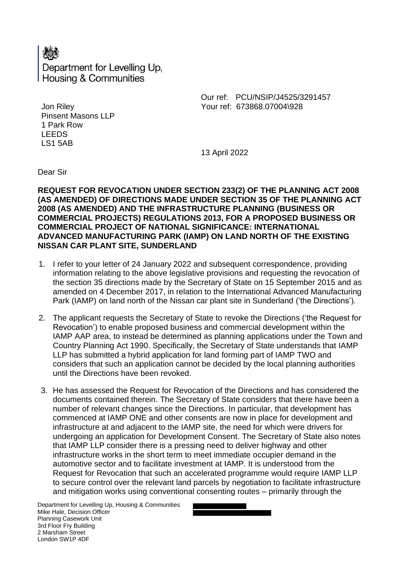

Our ref: PCU/NSIP/J4525/3291457 Your ref: 673868.07004\928

Jon Riley Pinsent Masons LLP 1 Park Row LEEDS LS1 5AB

13 April 2022

Dear Sir

**REQUEST FOR REVOCATION UNDER SECTION 233(2) OF THE PLANNING ACT 2008 (AS AMENDED) OF DIRECTIONS MADE UNDER SECTION 35 OF THE PLANNING ACT 2008 (AS AMENDED) AND THE INFRASTRUCTURE PLANNING (BUSINESS OR COMMERCIAL PROJECTS) REGULATIONS 2013, FOR A PROPOSED BUSINESS OR COMMERCIAL PROJECT OF NATIONAL SIGNIFICANCE: INTERNATIONAL ADVANCED MANUFACTURING PARK (IAMP) ON LAND NORTH OF THE EXISTING NISSAN CAR PLANT SITE, SUNDERLAND**

- 1. I refer to your letter of 24 January 2022 and subsequent correspondence, providing information relating to the above legislative provisions and requesting the revocation of the section 35 directions made by the Secretary of State on 15 September 2015 and as amended on 4 December 2017, in relation to the International Advanced Manufacturing Park (IAMP) on land north of the Nissan car plant site in Sunderland ('the Directions').
- 2. The applicant requests the Secretary of State to revoke the Directions ('the Request for Revocation') to enable proposed business and commercial development within the IAMP AAP area, to instead be determined as planning applications under the Town and Country Planning Act 1990. Specifically, the Secretary of State understands that IAMP LLP has submitted a hybrid application for land forming part of IAMP TWO and considers that such an application cannot be decided by the local planning authorities until the Directions have been revoked.
- 3. He has assessed the Request for Revocation of the Directions and has considered the documents contained therein. The Secretary of State considers that there have been a number of relevant changes since the Directions. In particular, that development has commenced at IAMP ONE and other consents are now in place for development and infrastructure at and adjacent to the IAMP site, the need for which were drivers for undergoing an application for Development Consent. The Secretary of State also notes that IAMP LLP consider there is a pressing need to deliver highway and other infrastructure works in the short term to meet immediate occupier demand in the automotive sector and to facilitate investment at IAMP. It is understood from the Request for Revocation that such an accelerated programme would require IAMP LLP to secure control over the relevant land parcels by negotiation to facilitate infrastructure and mitigation works using conventional consenting routes – primarily through the

Department for Levelling Up, Housing & Communities Mike Hale, Decision Officer Planning Casework Unit 3rd Floor Fry Building 2 Marsham Street London SW1P 4DF